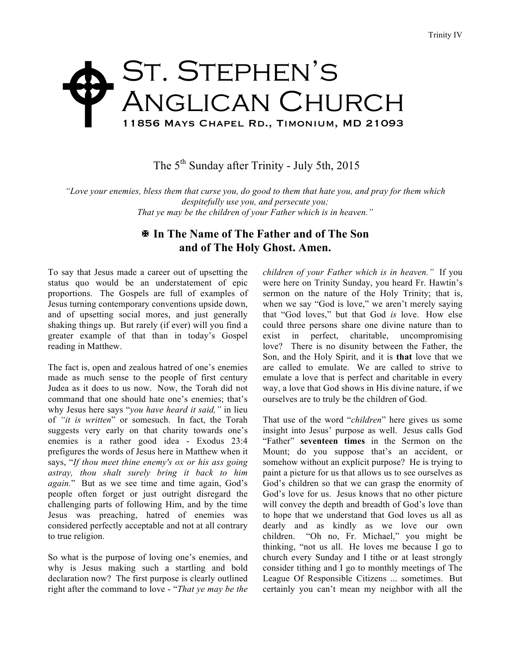## ST. STEPHEN'S Anglican Church 11856 Mays Chapel Rd., Timonium, MD 21093  $\blacklozenge$

The 5<sup>th</sup> Sunday after Trinity - July 5th, 2015

*"Love your enemies, bless them that curse you, do good to them that hate you, and pray for them which despitefully use you, and persecute you; That ye may be the children of your Father which is in heaven."*

## X **In The Name of The Father and of The Son and of The Holy Ghost. Amen.**

To say that Jesus made a career out of upsetting the status quo would be an understatement of epic proportions. The Gospels are full of examples of Jesus turning contemporary conventions upside down, and of upsetting social mores, and just generally shaking things up. But rarely (if ever) will you find a greater example of that than in today's Gospel reading in Matthew.

The fact is, open and zealous hatred of one's enemies made as much sense to the people of first century Judea as it does to us now. Now, the Torah did not command that one should hate one's enemies; that's why Jesus here says "*you have heard it said,"* in lieu of *"it is written*" or somesuch. In fact, the Torah suggests very early on that charity towards one's enemies is a rather good idea - Exodus 23:4 prefigures the words of Jesus here in Matthew when it says, "*If thou meet thine enemy's ox or his ass going astray, thou shalt surely bring it back to him again.*" But as we see time and time again, God's people often forget or just outright disregard the challenging parts of following Him, and by the time Jesus was preaching, hatred of enemies was considered perfectly acceptable and not at all contrary to true religion.

So what is the purpose of loving one's enemies, and why is Jesus making such a startling and bold declaration now? The first purpose is clearly outlined right after the command to love - "*That ye may be the*  *children of your Father which is in heaven."* If you were here on Trinity Sunday, you heard Fr. Hawtin's sermon on the nature of the Holy Trinity; that is, when we say "God is love," we aren't merely saying that "God loves," but that God *is* love. How else could three persons share one divine nature than to exist in perfect, charitable, uncompromising love? There is no disunity between the Father, the Son, and the Holy Spirit, and it is **that** love that we are called to emulate. We are called to strive to emulate a love that is perfect and charitable in every way, a love that God shows in His divine nature, if we ourselves are to truly be the children of God.

That use of the word "*children*" here gives us some insight into Jesus' purpose as well. Jesus calls God "Father" **seventeen times** in the Sermon on the Mount; do you suppose that's an accident, or somehow without an explicit purpose? He is trying to paint a picture for us that allows us to see ourselves as God's children so that we can grasp the enormity of God's love for us. Jesus knows that no other picture will convey the depth and breadth of God's love than to hope that we understand that God loves us all as dearly and as kindly as we love our own children. "Oh no, Fr. Michael," you might be thinking, "not us all. He loves me because I go to church every Sunday and I tithe or at least strongly consider tithing and I go to monthly meetings of The League Of Responsible Citizens ... sometimes. But certainly you can't mean my neighbor with all the